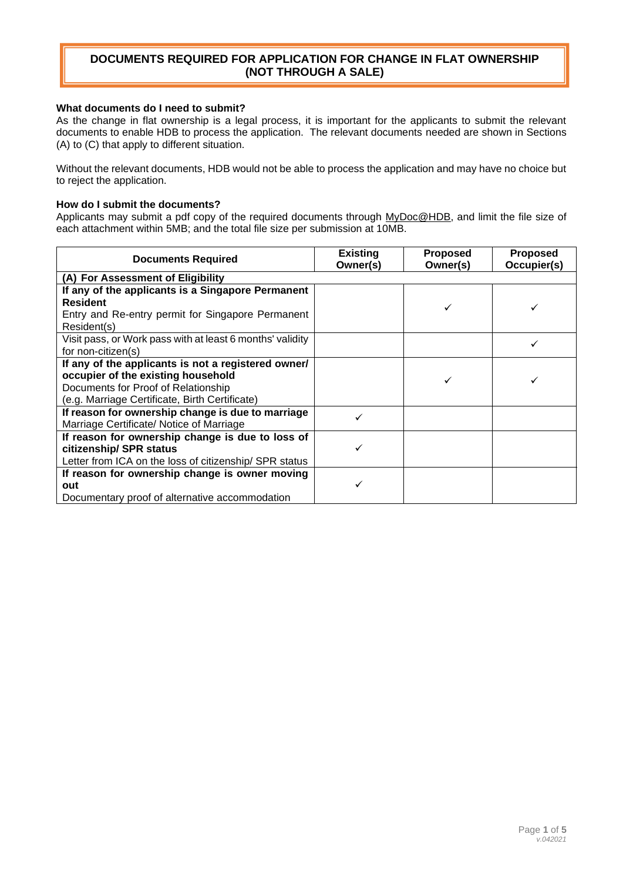#### **What documents do I need to submit?**

As the change in flat ownership is a legal process, it is important for the applicants to submit the relevant documents to enable HDB to process the application. The relevant documents needed are shown in Sections (A) to (C) that apply to different situation.

Without the relevant documents, HDB would not be able to process the application and may have no choice but to reject the application.

#### **How do I submit the documents?**

Applicants may submit a pdf copy of the required documents through [MyDoc@HDB,](https://www.hdb.gov.sg/mydoc) and limit the file size of each attachment within 5MB; and the total file size per submission at 10MB.

| <b>Documents Required</b>                                                                                                                                                          | <b>Existing</b><br>Owner(s) | <b>Proposed</b><br>Owner(s) | <b>Proposed</b><br>Occupier(s) |
|------------------------------------------------------------------------------------------------------------------------------------------------------------------------------------|-----------------------------|-----------------------------|--------------------------------|
| (A) For Assessment of Eligibility                                                                                                                                                  |                             |                             |                                |
| If any of the applicants is a Singapore Permanent<br><b>Resident</b><br>Entry and Re-entry permit for Singapore Permanent<br>Resident(s)                                           |                             |                             |                                |
| Visit pass, or Work pass with at least 6 months' validity<br>for non-citizen(s)                                                                                                    |                             |                             |                                |
| If any of the applicants is not a registered owner/<br>occupier of the existing household<br>Documents for Proof of Relationship<br>(e.g. Marriage Certificate, Birth Certificate) |                             |                             |                                |
| If reason for ownership change is due to marriage<br>Marriage Certificate/ Notice of Marriage                                                                                      |                             |                             |                                |
| If reason for ownership change is due to loss of<br>citizenship/ SPR status<br>Letter from ICA on the loss of citizenship/ SPR status                                              |                             |                             |                                |
| If reason for ownership change is owner moving<br>out<br>Documentary proof of alternative accommodation                                                                            |                             |                             |                                |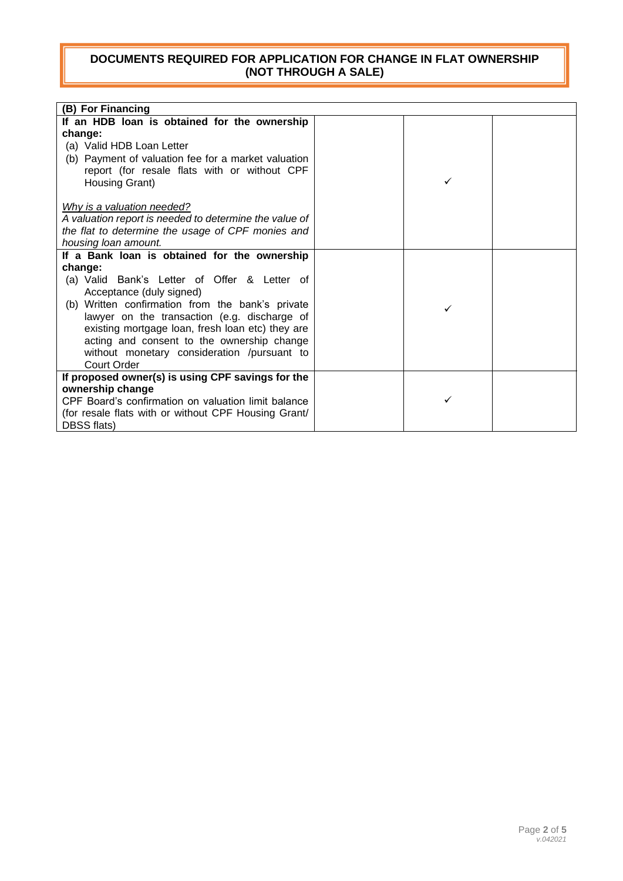| (B) For Financing                                      |   |  |
|--------------------------------------------------------|---|--|
| If an HDB loan is obtained for the ownership           |   |  |
| change:                                                |   |  |
| (a) Valid HDB Loan Letter                              |   |  |
| (b) Payment of valuation fee for a market valuation    |   |  |
| report (for resale flats with or without CPF           | ✓ |  |
| Housing Grant)                                         |   |  |
| Why is a valuation needed?                             |   |  |
| A valuation report is needed to determine the value of |   |  |
| the flat to determine the usage of CPF monies and      |   |  |
| housing loan amount.                                   |   |  |
| If a Bank loan is obtained for the ownership           |   |  |
| change:                                                |   |  |
| (a) Valid Bank's Letter of Offer & Letter of           |   |  |
| Acceptance (duly signed)                               |   |  |
| (b) Written confirmation from the bank's private       | ✓ |  |
| lawyer on the transaction (e.g. discharge of           |   |  |
| existing mortgage loan, fresh loan etc) they are       |   |  |
| acting and consent to the ownership change             |   |  |
| without monetary consideration /pursuant to            |   |  |
| <b>Court Order</b>                                     |   |  |
| If proposed owner(s) is using CPF savings for the      |   |  |
| ownership change                                       |   |  |
| CPF Board's confirmation on valuation limit balance    | ✓ |  |
| (for resale flats with or without CPF Housing Grant/   |   |  |
| DBSS flats)                                            |   |  |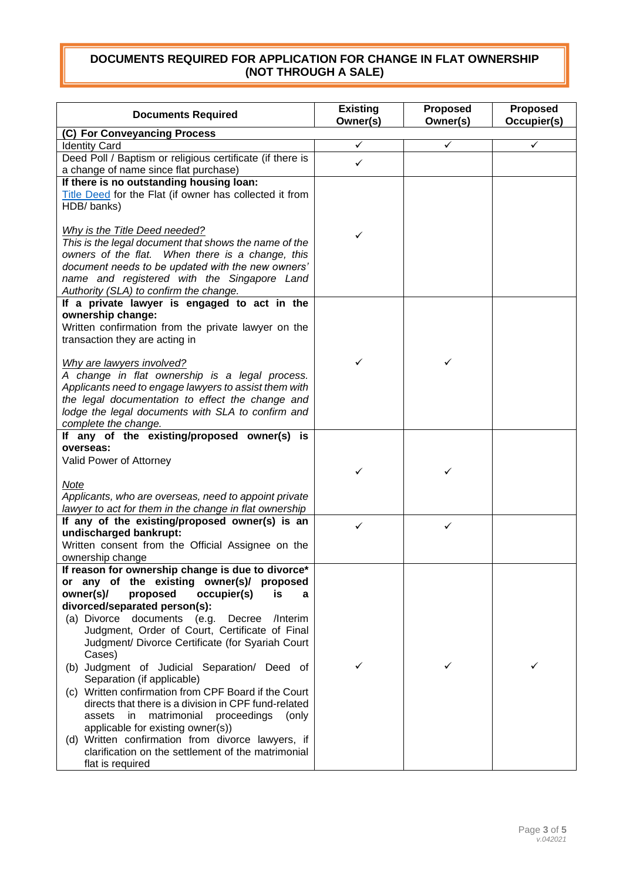| <b>Documents Required</b>                                                                             | <b>Existing</b><br>Owner(s) | Proposed<br>Owner(s) | <b>Proposed</b><br>Occupier(s) |
|-------------------------------------------------------------------------------------------------------|-----------------------------|----------------------|--------------------------------|
| (C) For Conveyancing Process                                                                          |                             |                      |                                |
| <b>Identity Card</b>                                                                                  | ✓                           | ✓                    | ✓                              |
| Deed Poll / Baptism or religious certificate (if there is                                             | $\checkmark$                |                      |                                |
| a change of name since flat purchase)                                                                 |                             |                      |                                |
| If there is no outstanding housing loan:                                                              |                             |                      |                                |
| Title Deed for the Flat (if owner has collected it from                                               |                             |                      |                                |
| HDB/banks)                                                                                            |                             |                      |                                |
|                                                                                                       |                             |                      |                                |
| Why is the Title Deed needed?                                                                         | ✓                           |                      |                                |
| This is the legal document that shows the name of the                                                 |                             |                      |                                |
| owners of the flat. When there is a change, this<br>document needs to be updated with the new owners' |                             |                      |                                |
| name and registered with the Singapore Land                                                           |                             |                      |                                |
| Authority (SLA) to confirm the change.                                                                |                             |                      |                                |
| If a private lawyer is engaged to act in the                                                          |                             |                      |                                |
| ownership change:                                                                                     |                             |                      |                                |
| Written confirmation from the private lawyer on the                                                   |                             |                      |                                |
| transaction they are acting in                                                                        |                             |                      |                                |
|                                                                                                       |                             |                      |                                |
| Why are lawyers involved?                                                                             | ✓                           | ✓                    |                                |
| A change in flat ownership is a legal process.                                                        |                             |                      |                                |
| Applicants need to engage lawyers to assist them with                                                 |                             |                      |                                |
| the legal documentation to effect the change and                                                      |                             |                      |                                |
| lodge the legal documents with SLA to confirm and                                                     |                             |                      |                                |
| complete the change.                                                                                  |                             |                      |                                |
| If any of the existing/proposed owner(s) is                                                           |                             |                      |                                |
| overseas:                                                                                             |                             |                      |                                |
| Valid Power of Attorney                                                                               |                             |                      |                                |
|                                                                                                       | ✓                           | ✓                    |                                |
| Note                                                                                                  |                             |                      |                                |
| Applicants, who are overseas, need to appoint private                                                 |                             |                      |                                |
| lawyer to act for them in the change in flat ownership                                                |                             |                      |                                |
| If any of the existing/proposed owner(s) is an                                                        | ✓                           | ✓                    |                                |
| undischarged bankrupt:                                                                                |                             |                      |                                |
| Written consent from the Official Assignee on the                                                     |                             |                      |                                |
| ownership change<br>If reason for ownership change is due to divorce*                                 |                             |                      |                                |
| or any of the existing owner(s)/ proposed                                                             |                             |                      |                                |
| proposed<br>owner(s)/<br>occupier(s)<br>is<br>a                                                       |                             |                      |                                |
| divorced/separated person(s):                                                                         |                             |                      |                                |
| (a) Divorce documents (e.g. Decree /Interim                                                           |                             |                      |                                |
| Judgment, Order of Court, Certificate of Final                                                        |                             |                      |                                |
| Judgment/ Divorce Certificate (for Syariah Court                                                      |                             |                      |                                |
| Cases)                                                                                                |                             |                      |                                |
| (b) Judgment of Judicial Separation/ Deed of                                                          | ✓                           |                      | ✓                              |
| Separation (if applicable)                                                                            |                             |                      |                                |
| (c) Written confirmation from CPF Board if the Court                                                  |                             |                      |                                |
| directs that there is a division in CPF fund-related                                                  |                             |                      |                                |
| matrimonial<br>proceedings<br>assets<br>in.<br>(only                                                  |                             |                      |                                |
| applicable for existing owner(s))                                                                     |                             |                      |                                |
| (d) Written confirmation from divorce lawyers, if                                                     |                             |                      |                                |
| clarification on the settlement of the matrimonial                                                    |                             |                      |                                |
| flat is required                                                                                      |                             |                      |                                |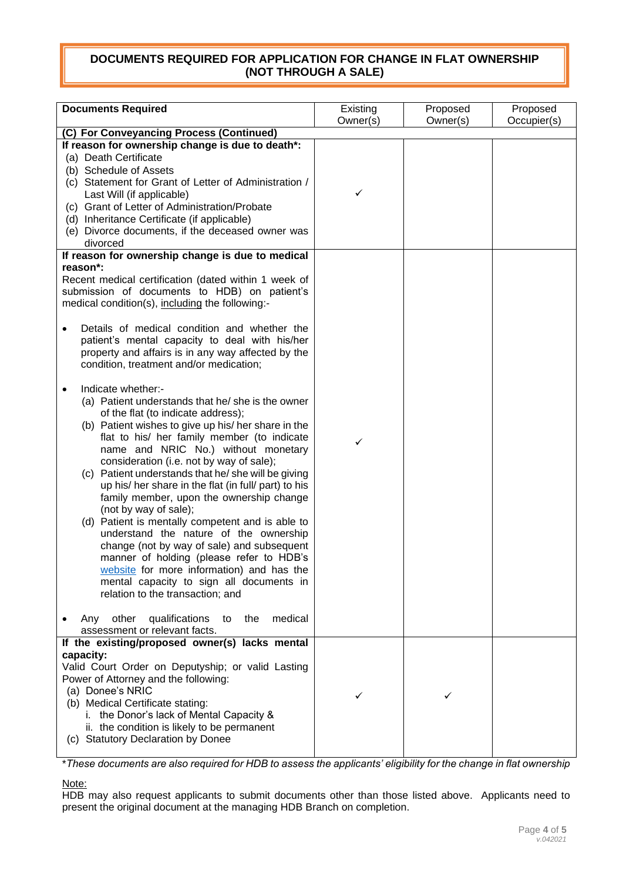| <b>Documents Required</b>                                                                                                                                                                                                                                                                                                                                                                                                                                                                                                                                                                                                                                                                                                                                                                                                   | Existing | Proposed | Proposed    |
|-----------------------------------------------------------------------------------------------------------------------------------------------------------------------------------------------------------------------------------------------------------------------------------------------------------------------------------------------------------------------------------------------------------------------------------------------------------------------------------------------------------------------------------------------------------------------------------------------------------------------------------------------------------------------------------------------------------------------------------------------------------------------------------------------------------------------------|----------|----------|-------------|
| (C) For Conveyancing Process (Continued)                                                                                                                                                                                                                                                                                                                                                                                                                                                                                                                                                                                                                                                                                                                                                                                    | Owner(s) | Owner(s) | Occupier(s) |
| If reason for ownership change is due to death*:                                                                                                                                                                                                                                                                                                                                                                                                                                                                                                                                                                                                                                                                                                                                                                            |          |          |             |
| (a) Death Certificate<br>(b) Schedule of Assets<br>(c) Statement for Grant of Letter of Administration /<br>Last Will (if applicable)<br>(c) Grant of Letter of Administration/Probate<br>(d) Inheritance Certificate (if applicable)<br>(e) Divorce documents, if the deceased owner was<br>divorced                                                                                                                                                                                                                                                                                                                                                                                                                                                                                                                       | ✓        |          |             |
| If reason for ownership change is due to medical                                                                                                                                                                                                                                                                                                                                                                                                                                                                                                                                                                                                                                                                                                                                                                            |          |          |             |
| reason*:<br>Recent medical certification (dated within 1 week of<br>submission of documents to HDB) on patient's<br>medical condition(s), including the following:-<br>Details of medical condition and whether the<br>$\bullet$<br>patient's mental capacity to deal with his/her<br>property and affairs is in any way affected by the<br>condition, treatment and/or medication;                                                                                                                                                                                                                                                                                                                                                                                                                                         |          |          |             |
| Indicate whether:-<br>$\bullet$<br>(a) Patient understands that he/ she is the owner<br>of the flat (to indicate address);<br>(b) Patient wishes to give up his/ her share in the<br>flat to his/ her family member (to indicate<br>name and NRIC No.) without monetary<br>consideration (i.e. not by way of sale);<br>(c) Patient understands that he/she will be giving<br>up his/ her share in the flat (in full/ part) to his<br>family member, upon the ownership change<br>(not by way of sale);<br>(d) Patient is mentally competent and is able to<br>understand the nature of the ownership<br>change (not by way of sale) and subsequent<br>manner of holding (please refer to HDB's<br>website for more information) and has the<br>mental capacity to sign all documents in<br>relation to the transaction; and | ✓        |          |             |
| other<br>qualifications<br>the<br>medical<br>Any<br>to<br>assessment or relevant facts.                                                                                                                                                                                                                                                                                                                                                                                                                                                                                                                                                                                                                                                                                                                                     |          |          |             |
| If the existing/proposed owner(s) lacks mental<br>capacity:<br>Valid Court Order on Deputyship; or valid Lasting<br>Power of Attorney and the following:<br>(a) Donee's NRIC<br>(b) Medical Certificate stating:<br>i. the Donor's lack of Mental Capacity &<br>ii. the condition is likely to be permanent<br>(c) Statutory Declaration by Donee                                                                                                                                                                                                                                                                                                                                                                                                                                                                           | ✓        | ✓        |             |

\**These documents are also required for HDB to assess the applicants' eligibility for the change in flat ownership*

Note:

HDB may also request applicants to submit documents other than those listed above. Applicants need to present the original document at the managing HDB Branch on completion.